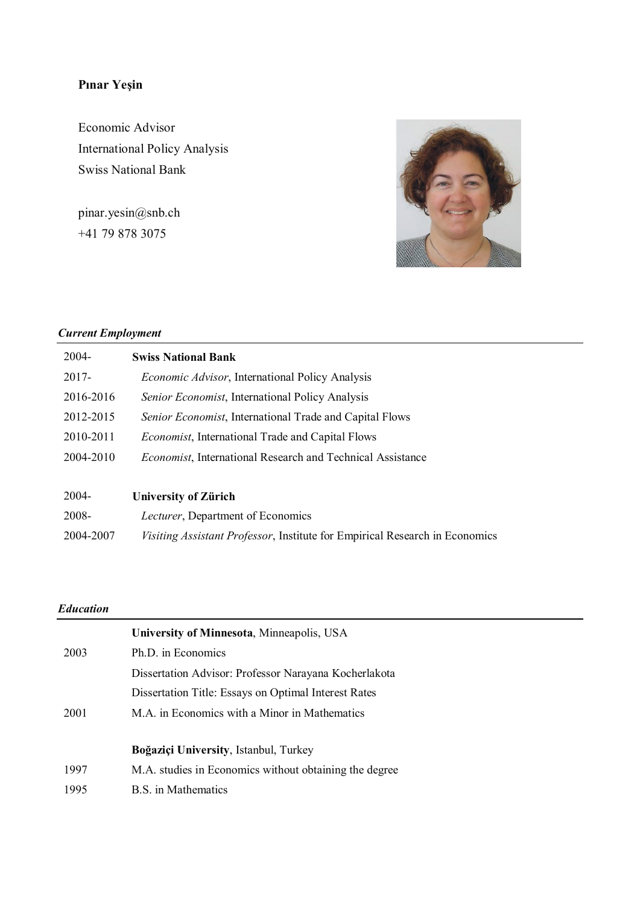# **Pınar Yeşin**

Economic Advisor International Policy Analysis Swiss National Bank

pinar.yesin@snb.ch +41 79 878 3075



### *Current Employment*

| 2004-     | <b>Swiss National Bank</b>                                                  |
|-----------|-----------------------------------------------------------------------------|
| $2017 -$  | Economic Advisor, International Policy Analysis                             |
| 2016-2016 | Senior Economist, International Policy Analysis                             |
| 2012-2015 | Senior Economist, International Trade and Capital Flows                     |
| 2010-2011 | <i>Economist</i> , International Trade and Capital Flows                    |
| 2004-2010 | <b>Economist, International Research and Technical Assistance</b>           |
|           |                                                                             |
| $2004 -$  | <b>University of Zürich</b>                                                 |
| 2008-     | Lecturer, Department of Economics                                           |
| 2004-2007 | Visiting Assistant Professor, Institute for Empirical Research in Economics |

### *Education*

|      | University of Minnesota, Minneapolis, USA              |
|------|--------------------------------------------------------|
| 2003 | Ph.D. in Economics                                     |
|      | Dissertation Advisor: Professor Narayana Kocherlakota  |
|      | Dissertation Title: Essays on Optimal Interest Rates   |
| 2001 | M.A. in Economics with a Minor in Mathematics          |
|      | Boğaziçi University, Istanbul, Turkey                  |
| 1997 | M.A. studies in Economics without obtaining the degree |
| 1995 | <b>B.S.</b> in Mathematics                             |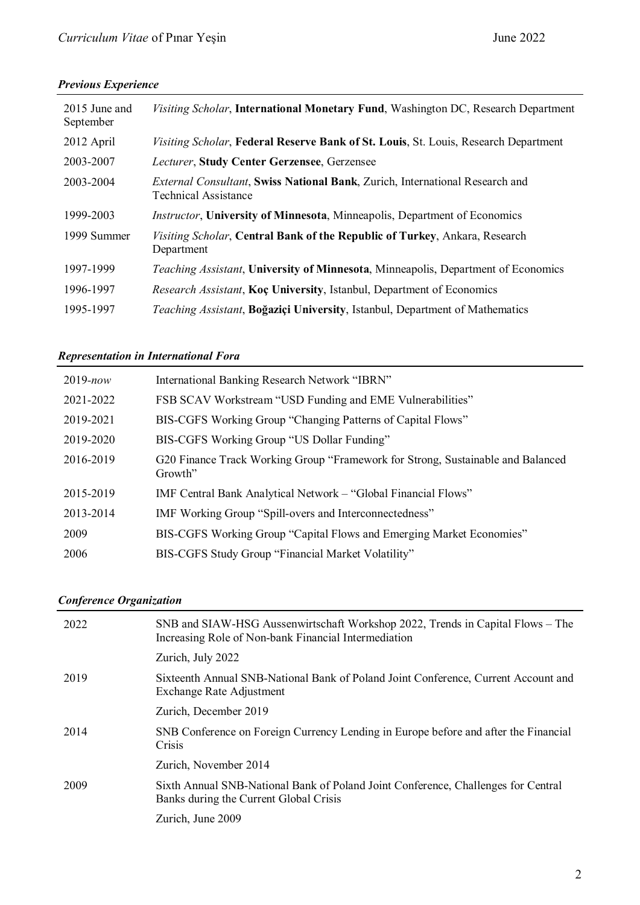## **Previous Experience**

| 2015 June and<br>September | Visiting Scholar, International Monetary Fund, Washington DC, Research Department                                   |
|----------------------------|---------------------------------------------------------------------------------------------------------------------|
| 2012 April                 | Visiting Scholar, Federal Reserve Bank of St. Louis, St. Louis, Research Department                                 |
| 2003-2007                  | Lecturer, Study Center Gerzensee, Gerzensee                                                                         |
| 2003-2004                  | <i>External Consultant</i> , Swiss National Bank, Zurich, International Research and<br><b>Technical Assistance</b> |
| 1999-2003                  | <i>Instructor</i> , University of Minnesota, Minneapolis, Department of Economics                                   |
| 1999 Summer                | Visiting Scholar, Central Bank of the Republic of Turkey, Ankara, Research<br>Department                            |
| 1997-1999                  | Teaching Assistant, University of Minnesota, Minneapolis, Department of Economics                                   |
| 1996-1997                  | <i>Research Assistant, Koc University, Istanbul, Department of Economics</i>                                        |
| 1995-1997                  | Teaching Assistant, Boğaziçi University, Istanbul, Department of Mathematics                                        |

### **Representation in International Fora**

| $2019$ -now | International Banking Research Network "IBRN"                                              |
|-------------|--------------------------------------------------------------------------------------------|
| 2021-2022   | FSB SCAV Workstream "USD Funding and EME Vulnerabilities"                                  |
| 2019-2021   | BIS-CGFS Working Group "Changing Patterns of Capital Flows"                                |
| 2019-2020   | BIS-CGFS Working Group "US Dollar Funding"                                                 |
| 2016-2019   | G20 Finance Track Working Group "Framework for Strong, Sustainable and Balanced<br>Growth" |
| 2015-2019   | IMF Central Bank Analytical Network – "Global Financial Flows"                             |
| 2013-2014   | IMF Working Group "Spill-overs and Interconnectedness"                                     |
| 2009        | BIS-CGFS Working Group "Capital Flows and Emerging Market Economies"                       |
| 2006        | BIS-CGFS Study Group "Financial Market Volatility"                                         |

## **Conference Organization**

| 2022 | SNB and SIAW-HSG Aussenwirtschaft Workshop 2022, Trends in Capital Flows – The<br>Increasing Role of Non-bank Financial Intermediation |
|------|----------------------------------------------------------------------------------------------------------------------------------------|
|      | Zurich, July 2022                                                                                                                      |
| 2019 | Sixteenth Annual SNB-National Bank of Poland Joint Conference, Current Account and<br>Exchange Rate Adjustment                         |
|      | Zurich, December 2019                                                                                                                  |
| 2014 | SNB Conference on Foreign Currency Lending in Europe before and after the Financial<br>Crisis                                          |
|      | Zurich, November 2014                                                                                                                  |
| 2009 | Sixth Annual SNB-National Bank of Poland Joint Conference, Challenges for Central<br>Banks during the Current Global Crisis            |
|      | Zurich, June 2009                                                                                                                      |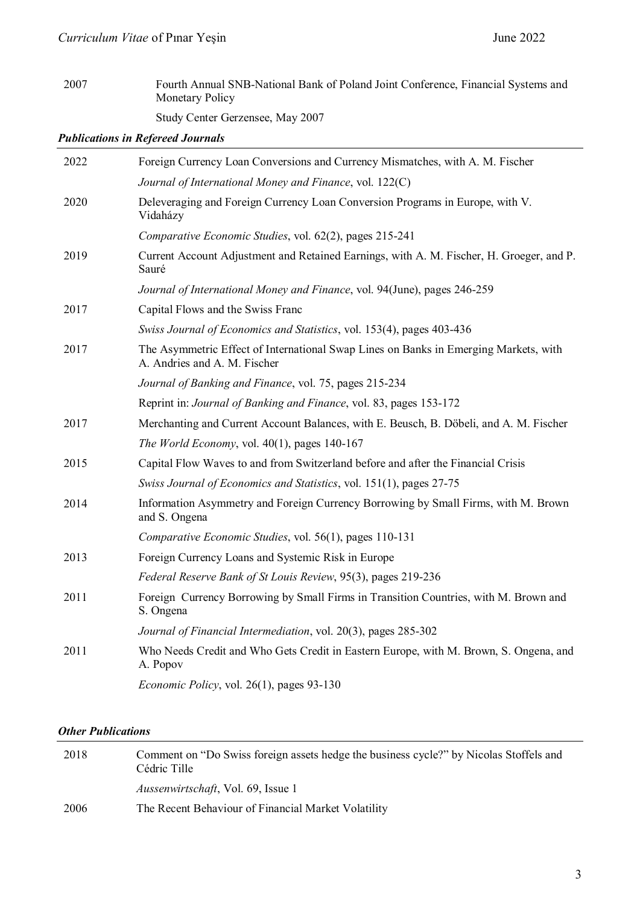# 2007 Fourth Annual SNB-National Bank of Poland Joint Conference, Financial Systems and Monetary Policy Study Center Gerzensee, May 2007

*Publications in Refereed Journals*

| Foreign Currency Loan Conversions and Currency Mismatches, with A. M. Fischer                                        |
|----------------------------------------------------------------------------------------------------------------------|
| Journal of International Money and Finance, vol. 122(C)                                                              |
| Deleveraging and Foreign Currency Loan Conversion Programs in Europe, with V.<br>Vidaházy                            |
| Comparative Economic Studies, vol. 62(2), pages 215-241                                                              |
| Current Account Adjustment and Retained Earnings, with A. M. Fischer, H. Groeger, and P.<br>Sauré                    |
| Journal of International Money and Finance, vol. 94(June), pages 246-259                                             |
| Capital Flows and the Swiss Franc                                                                                    |
| Swiss Journal of Economics and Statistics, vol. 153(4), pages 403-436                                                |
| The Asymmetric Effect of International Swap Lines on Banks in Emerging Markets, with<br>A. Andries and A. M. Fischer |
| Journal of Banking and Finance, vol. 75, pages 215-234                                                               |
| Reprint in: Journal of Banking and Finance, vol. 83, pages 153-172                                                   |
| Merchanting and Current Account Balances, with E. Beusch, B. Döbeli, and A. M. Fischer                               |
| The World Economy, vol. $40(1)$ , pages 140-167                                                                      |
| Capital Flow Waves to and from Switzerland before and after the Financial Crisis                                     |
| Swiss Journal of Economics and Statistics, vol. 151(1), pages 27-75                                                  |
| Information Asymmetry and Foreign Currency Borrowing by Small Firms, with M. Brown<br>and S. Ongena                  |
| Comparative Economic Studies, vol. 56(1), pages 110-131                                                              |
| Foreign Currency Loans and Systemic Risk in Europe                                                                   |
| Federal Reserve Bank of St Louis Review, 95(3), pages 219-236                                                        |
| Foreign Currency Borrowing by Small Firms in Transition Countries, with M. Brown and<br>S. Ongena                    |
| Journal of Financial Intermediation, vol. 20(3), pages 285-302                                                       |
| Who Needs Credit and Who Gets Credit in Eastern Europe, with M. Brown, S. Ongena, and<br>A. Popov                    |
| <i>Economic Policy</i> , vol. 26(1), pages 93-130                                                                    |
|                                                                                                                      |

### *Other Publications*

| 2018 | Comment on "Do Swiss foreign assets hedge the business cycle?" by Nicolas Stoffels and<br>Cédric Tille |
|------|--------------------------------------------------------------------------------------------------------|
|      | <i>Aussenwirtschaft</i> , Vol. 69, Issue 1                                                             |
| 2006 | The Recent Behaviour of Financial Market Volatility                                                    |